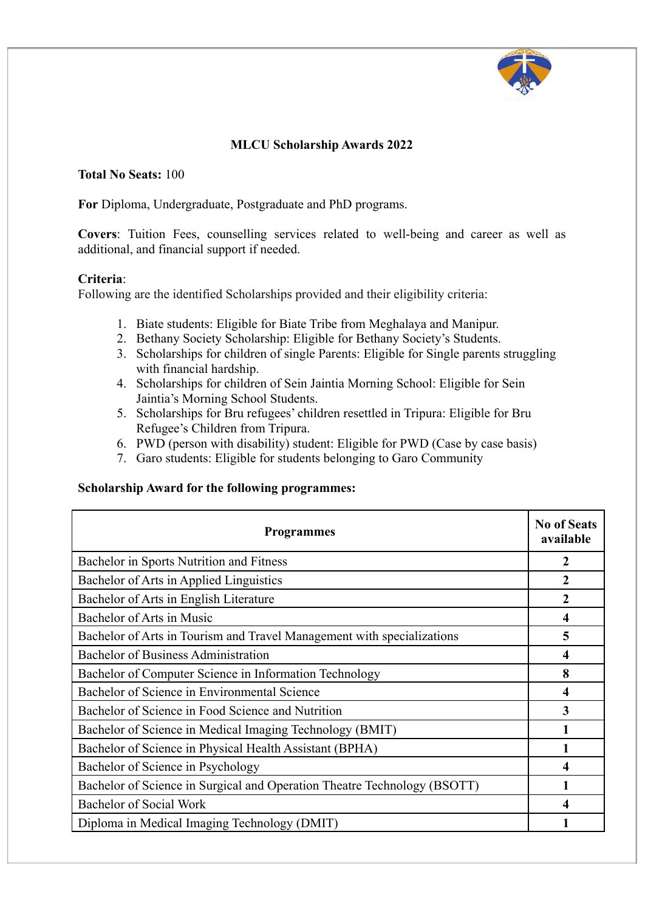

## **MLCU Scholarship Awards 2022**

## **Total No Seats:** 100

**For** Diploma, Undergraduate, Postgraduate and PhD programs.

**Covers**: Tuition Fees, counselling services related to well-being and career as well as additional, and financial support if needed.

## **Criteria**:

Following are the identified Scholarships provided and their eligibility criteria:

- 1. Biate students: Eligible for Biate Tribe from Meghalaya and Manipur.
- 2. Bethany Society Scholarship: Eligible for Bethany Society's Students.
- 3. Scholarships for children of single Parents: Eligible for Single parents struggling with financial hardship.
- 4. Scholarships for children of Sein Jaintia Morning School: Eligible for Sein Jaintia's Morning School Students.
- 5. Scholarships for Bru refugees' children resettled in Tripura: Eligible for Bru Refugee's Children from Tripura.
- 6. PWD (person with disability) student: Eligible for PWD (Case by case basis)
- 7. Garo students: Eligible for students belonging to Garo Community

## **Scholarship Award for the following programmes:**

| <b>Programmes</b>                                                        | <b>No of Seats</b><br>available |
|--------------------------------------------------------------------------|---------------------------------|
| Bachelor in Sports Nutrition and Fitness                                 | 2                               |
| Bachelor of Arts in Applied Linguistics                                  | $\overline{2}$                  |
| Bachelor of Arts in English Literature                                   | $\mathbf{2}$                    |
| Bachelor of Arts in Music                                                | 4                               |
| Bachelor of Arts in Tourism and Travel Management with specializations   | 5                               |
| <b>Bachelor of Business Administration</b>                               | 4                               |
| Bachelor of Computer Science in Information Technology                   | 8                               |
| Bachelor of Science in Environmental Science                             | 4                               |
| Bachelor of Science in Food Science and Nutrition                        | 3                               |
| Bachelor of Science in Medical Imaging Technology (BMIT)                 |                                 |
| Bachelor of Science in Physical Health Assistant (BPHA)                  |                                 |
| Bachelor of Science in Psychology                                        | 4                               |
| Bachelor of Science in Surgical and Operation Theatre Technology (BSOTT) |                                 |
| Bachelor of Social Work                                                  | 4                               |
| Diploma in Medical Imaging Technology (DMIT)                             |                                 |